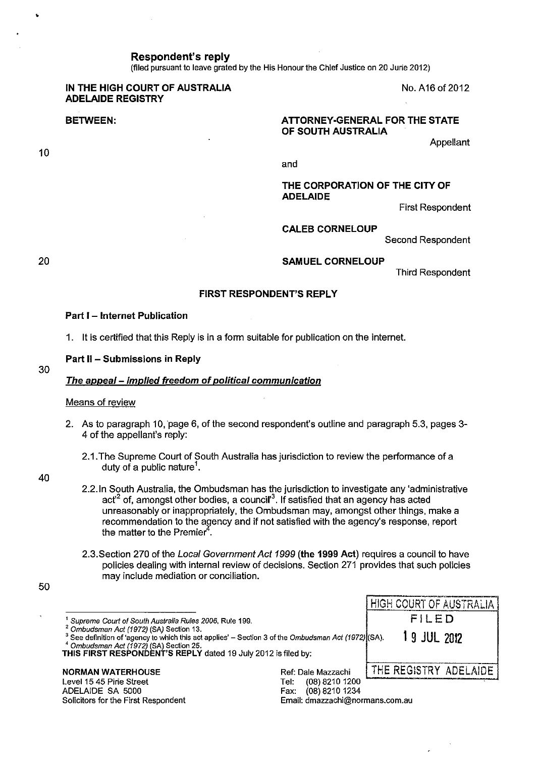**Respondent's reply** 

(filed pursuant to leave grated by the His Honour the Chief Justice on 20 Jurie 2012)

# **IN THE HIGH COURT OF AUSTRALIA ADELAIDE REGISTRY**

**BETWEEN:** 

## **ATTORNEY-GENERAL FOR THE STATE OF SOUTH AUSTRALIA**

Appellant

and

# **THE CORPORATION OF THE CITY OF ADELAIDE**

First Respondent

No. A16 of 2012

**CALEB CORNELOUP** 

Second Respondent

20

30

10

#### **SAMUEL CORNELOUP**

Third Respondent

## **FIRST RESPONDENT'S REPLY**

#### **Part I - Internet Publication**

1. It is certified that this Reply is in a form suitable for publication on the internet.

#### **Part** II - **Submissions in Reply**

#### **The appeal- implied freedom of political communication**

#### Means of review

- 2. As to paragraph 10, page 6, of the second respondent's outline and paragraph 5.3, pages 3-4 of the appellant's reply:
	- 2.1.The Supreme Court of South Australia has jurisdiction to review the performance of a duty of a public nature<sup>1</sup>.

40

50

|                                          | 2.2. In South Australia, the Ombudsman has the jurisdiction to investigate any 'administrative            |
|------------------------------------------|-----------------------------------------------------------------------------------------------------------|
|                                          | act <sup>2</sup> of, amongst other bodies, a council <sup>3</sup> . If satisfied that an agency has acted |
|                                          | unreasonably or inappropriately, the Ombudsman may, amongst other things, make a                          |
|                                          | recommendation to the agency and if not satisfied with the agency's response, report                      |
| the matter to the Premier <sup>4</sup> . |                                                                                                           |

2.3.Section 270 of the Local Government Act 1999 **(the 1999 Act)** requires a council to have policies dealing with internal review of decisions. Section 271 provides that such policies may include mediation or conciliation.

|                                                                                                                                                                                                                                                                          | HIGH COURT OF AUSTRALIA                     |
|--------------------------------------------------------------------------------------------------------------------------------------------------------------------------------------------------------------------------------------------------------------------------|---------------------------------------------|
| <sup>t</sup> Supreme Court of South Australia Rules 2006, Rule 199.                                                                                                                                                                                                      | FILED                                       |
| 2 Ombudsman Act (1972) (SA) Section 13.<br><sup>3</sup> See definition of 'agency to which this act applies' – Section 3 of the Ombudsman Act (1972) (SA).<br>$4$ Ombudsman Act (1972) (SA) Section 25.<br>THIS FIRST RESPONDENT'S REPLY dated 19 July 2012 is filed by: | 1 9 JUL 2012                                |
| <b>NORMAN WATERHOUSE</b>                                                                                                                                                                                                                                                 | THE REGISTRY ADELAIDE<br>Ref: Dale Mazzachi |
| Level 15 45 Pirie Street                                                                                                                                                                                                                                                 | $(08)$ 8210 1200<br>Tel:                    |
| ADELAIDE SA 5000                                                                                                                                                                                                                                                         | (08) 8210 1234<br>Fax:                      |
| Solicitors for the First Respondent                                                                                                                                                                                                                                      | Email: dmazzachi@normans.com.au             |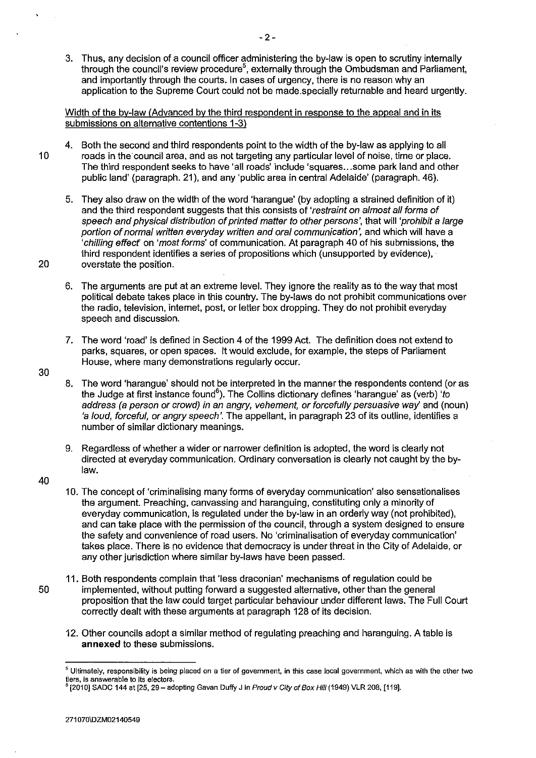3. Thus, any decision of a council officer administering the by-law is open to scrutiny internally through the council's review procedure<sup>5</sup>, externally through the Ombudsman and Parliament, and importantly through the courts. In cases of urgency, there is no reason why an application to the Supreme Court could not be made.specially returnable and heard urgently.

# Width of the by-law (Advanced by the third respondent in response to the appeal and in its submissions on alternative contentions 1-3)

- 4. Both the second and third respondents point to the width of the by-law as applying to all 10 roads in the·council area, and as not targeting any particular level of noise, time or place. The third respondent seeks to have 'all roads' include 'squares ... some park land and other public land' (paragraph. 21 ), and any 'public area in central Adelaide' (paragraph. 46).
- 5. They also draw on the width of the word 'harangue' (by adopting a strained definition of it) and the third respondent suggests that this consists of 'restraint on almost all forms of speech and physical distribution of printed matter to other persons', that will 'prohibit a large portion of normal written everyday written and oral communication', and which will have a 'chilling effecf on 'most forms' of communication. At paragraph 40 of his submissions, the third respondent identifies a series of propositions which (unsupported by evidence), 20 overstate the position.
	- 6. The arguments are put at an extreme level. They ignore the reality as to the way that most political debate takes place in this country. The by-laws do not prohibit communications over the radio, television, internet, post, or letter box dropping. They do not prohibit everyday speech and discussion.
	- 7. The word 'road' is defined in Section 4 of the 1999 Act. The definition does not extend to parks, squares, or open spaces. It would exclude, for example, the steps of Parliament House, where many demonstrations regularly occur.
	- 8. The word 'harangue' should not be interpreted in the manner the respondents contend (or as the Judge at first instance found<sup>6</sup>). The Collins dictionary defines 'harangue' as (verb) '*to* address (a person or crowd) in an angry, vehement, or forcefully persuasive way' and (noun) 'a loud, forceful, or angry speech'. The appellant, in paragraph 23 of its outline, identifies a number of similar dictionary meanings.
	- 9. Regardless of whether a wider or narrower definition is adopted, the word is clearly not directed at everyday communication. Ordinary conversation is clearly not caught by the bylaw.
- 40

- 10. The concept of 'criminalising many forms of everyday communication' also sensationalises the argument. Preaching, canvassing and haranguing, constituting only a minority of everyday communication, is regulated under the by-law in an orderly way (not prohibited), and can take place with the permission of the council, through a system designed to ensure the safety and convenience of road users. No 'criminalisation of everyday communication' takes place. There is no evidence that democracy is under threat in the City of Adelaide, or any other jurisdiction where similar by-laws have been passed.
- 11. Both respondents complain that 'less draconian' mechanisms of regulation could be 50 implemented, without putting forward a suggested alternative, other than the general proposition that the law could target particular behaviour under different laws. The Full Court correctly dealt with these arguments at paragraph 128 of its decision.
	- 12. Other councils adopt a similar method of regulating preaching and haranguing. A table is **annexed** to these submissions.

<sup>5</sup>**Ultimately, responsibility is being placed on a tier of government. in this case local government, which as with the other two tiers, is answerable to its electors.** 

<sup>[2010]</sup> SADC 144 at [25, 29 - adopting Gavan Duffy J in Proud v City of Box Hill (1949) VLR 208, [119].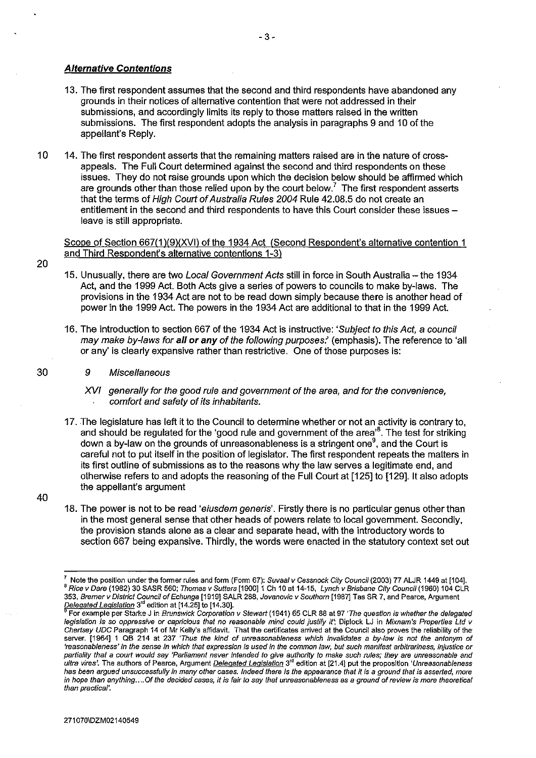## **Alternative Contentions**

- 13. The first respondent assumes that the second and third respondents have abandoned any grounds in their notices of alternative contention that were not addressed in their submissions, and accordingly limits its reply to those matters raised in the written submissions. The first respondent adopts the analysis in paragraphs 9 and 10 of the appellant's Reply.
- 10 14. The first respondent asserts that the remaining matters raised are in the nature of crossappeals. The Full Court determined against the second and third respondents on these issues. They do not raise grounds upon which the decision below should be affirmed which are grounds other than those relied upon by the court below.<sup>7</sup> The first respondent asserts that the terms of High Court of Australia Rules 2004 Rule 42.08.5 do not create an entitlement in the second and third respondents to have this Court consider these issues  $$ leave is still appropriate.

Scope of Section 667(1 )(9)(XVI) of the 1934 Act (Second Respondent's alternative contention 1 and Third Respondent's alternative contentions 1-3)

- 15. Unusually, there are two Local Government Acts still in force in South Australia the 1934 Act, and the 1999 Act. Both Acts give a series of powers to councils to make by-laws. The provisions in the 1934 Act are not to be read down simply because there is another head of power in the 1999 Act. The powers in the 1934 Act are additional to that in the 1999 Act.
- 16. The introduction to section 667 of the 1934 Act is instructive: 'Subject to this Act, a council may make by-laws for **all or any** of the following purposes:' (emphasis). The reference to 'all or any' is clearly expansive rather than restrictive. One of those purposes is:
	- 9 Miscellaneous
		- XVI generally for the good rule and government of the area, and for the convenience, comfort and safety of its inhabitants.
- 17. The legislature has left it to the Council to determine whether or not an activity is contrary to, and should be regulated for the 'good rule and government of the area'<sup>8</sup>. The test for striking down a by-law on the grounds of unreasonableness is a stringent one<sup>9</sup>, and the Court is careful not to put itself in the position of legislator. The first respondent repeats the matters in its first outline of submissions as to the reasons why the law serves a legitimate end, and otherwise refers to and adopts the reasoning of the Full Court at [125] to [129]. It also adopts the appellant's argument
- 18. The power is not to be read 'eiusdem generis'. Firstly there is no particular genus other than in the most general sense that other heads of powers relate to local government. Secondly, the provision stands alone as a clear and separate head, with the introductory words to section 667 being expansive. Thirdly, the words were enacted in the statutory context set out

30

40

Note the position under the former rules and form (Form 67): Suvaal v Cessnock City Council (2003) 77 ALJR 1449 at [104]. <sup>8</sup> Rice v Dare (1982) 30 SASR 560; Thomas v Sutters [1900] 1 Ch 10 at 14-15, Lynch v Brisbane City Council (1960) 104 CLR **353, Bremer v District Council of Echunga [1919] SALR 288, Jovanovic v Southam [1987} Tas SR 7, and Pearce, Argument** 

For example per Starke J in Brunswick Corporation v Stewart (1941) 65 CLR 88 at 97 'The question is whether the delegated **legislation is so oppressive or capricious that no reasonable mind could justify** it~ **Diplock LJ in Mixnam's Properties Ltd v**  *Chertsey UDC* **Paragraph 14 of Mr Kelly's affidavit. That the certificates arrived at the Council also proves the reliability of the server. [1964] 1 QB 214 at 237 'Thus the kind of unreasonableness which invalidates a by-law is not the antonym of 'reasonableness' in the sense in which that expression is used in the common Jaw, but such manifest arbitrariness, injustice or partiality that a court would say 'Parliament never intended to give authority to make such rules; they are unreasonable and ultra vires'. The authors of Pearce, Argument Delegated Legislation 3rd edition at [21.41 put the proposition 'Unreasonableness has been argued unsuccessfully in many other cases. Indeed there is the appearance that it is a ground that is asserted, more in hope than anything .... Of the decided cases, it is fair to say that unreasonableness as a ground of review is more theoretical than practical'.**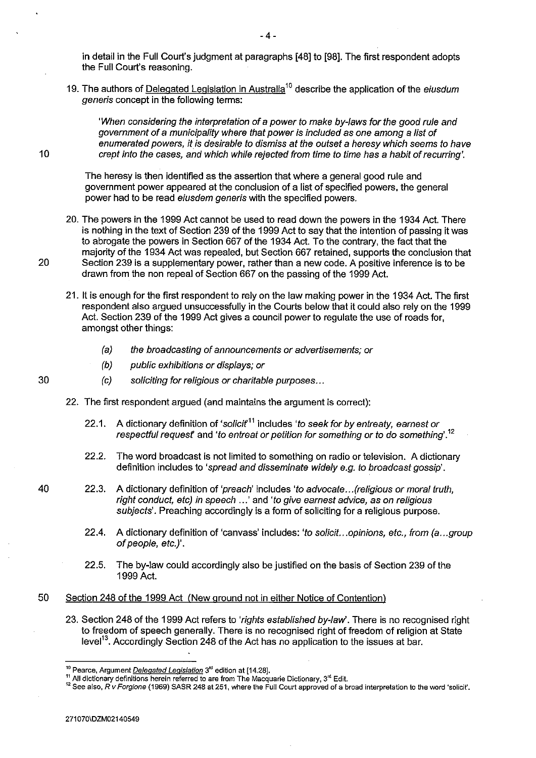in detail in the Full Court's judgment at paragraphs [48] to [98]. The first respondent adopts the Full Court's reasoning.

-4-

19. The authors of Delegated Legislation in Australia<sup>10</sup> describe the application of the *eiusdum* generis concept in the following terms:

'When considering the interpretation of a power to make by-laws for the good rule and government of a municipality where that power is included as one among a list of enumerated powers, it is desirable to dismiss at the outset a heresy which seems to have crept into the cases, and which while rejected from time to time has a habit of recurring'.

The heresy is then identified as the assertion that where a general good rule and government power appeared at the conclusion of a list of specified powers, the general power had to be read eiusdem generis with the specified powers.

- 20. The powers in the 1999 Act cannot be used to read down the powers in the 1934 Act. There is nothing in the text of Section 239 of the 1999 Act to say that the intention of passing it was to abrogate the powers in Section 667 of the 1934 Act. To the contrary, the fact that the majority of the 1934 Act was repealed, but Section 667 retained, supports the conclusion that 20 Section 239 is a supplementary power, rather than a new code. A positive inference is to be drawn from the non repeal of Section 667 on the passing of the 1999 Act.
	- 21. It is enough for the first respondent to rely on the law making power in the 1934 Act. The first respondent also argued unsuccessfully in the Courts below that it could also rely on the 1999 Act. Section 239 of the 1999 Act gives a council power to regulate the use of roads for, amongst other things:
		- (a) the broadcasting of announcements or advertisements; or
		- (b) public exhibitions or displays; or
		- (c) soliciting for religious or charitable purposes ...
	- 22. The first respondent argued (and maintains the argument is correct):
		- 22.1. A dictionary definition of 'solicit<sup>11</sup> includes 'to seek for by entreaty, earnest or respectful request and 'to entreat or petition for something or to do something'.  $^{12}$
		- 22.2. The word broadcast is not limited to something on radio or television. A dictionary definition includes to 'spread and disseminate widely e.g. to broadcast gossip'.
- 40 22.3. A dictionary definition of 'preach' includes 'to advocate...(religious or moral truth, right conduct, etc) in speech .. .' and 'to give earnest advice, as on religious subjects'. Preaching accordingly is a form of soliciting for a religious purpose.
	- 22.4. A dictionary definition of 'canvass' includes: 'to solicit...opinions, etc., from (a...group of people, etc.)'.
	- 22.5. The by-law could accordingly also be justified on the basis of Section 239 of the 1999 Act.

## 50 Section 248 of the 1999 Act (New ground not in either Notice of Contention)

23. Section 248 of the 1999 Act refers to 'rights established by-law'. There is no recognised right to freedom of speech generally. There is no recognised right of freedom of religion at State level<sup>13</sup>. Accordingly Section 248 of the Act has no application to the issues at bar.

271 070\DZM02140549

10

<sup>10</sup>**Pearce, Argument Delegated Legislation 3rd edition at [14.28].** 

<sup>&</sup>lt;sup>11</sup> All dictionary definitions herein referred to are from The Macquarie Dictionary, 3<sup>rd</sup> Edit.<br><sup>12</sup> See also, *R v Forgione* (1969) SASR 248 at 251, where the Full Court approved of a broad interpretation to the word 's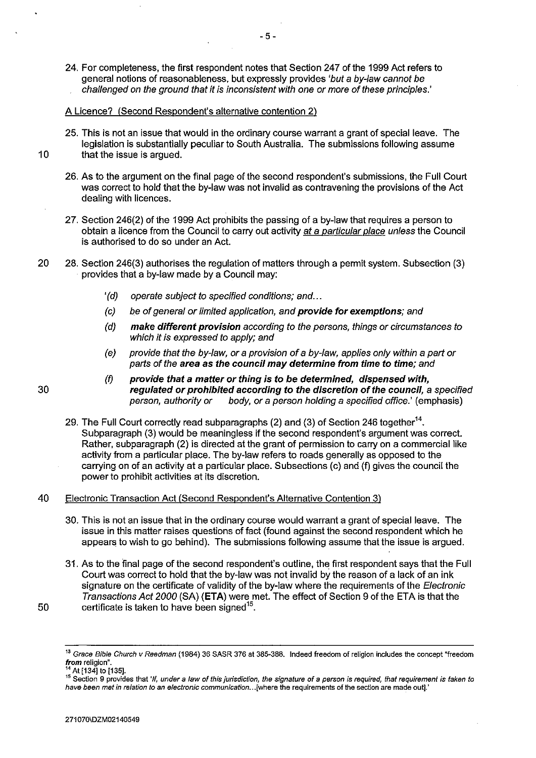24. For completeness, the first respondent notes that Section 247 of the 1999 Act refers to general notions of reasonableness, but expressly provides 'but a by-Jaw cannot be challenged on the ground that it is inconsistent with one or more of these principles.'

### A Licence? (Second Respondent's alternative contention 2)

- 25. This is not an issue that would in the ordinary course warrant a grant of special leave. The legislation is substantially peculiar to South Australia. The submissions following assume 10 that the issue is argued.
	- 26. As to the argument on the final page of the second respondent's submissions, the Full Court was correct to hold that the by-law was not invalid as contravening the provisions of the Act dealing with licences.
	- 27. Section 246(2) of the 1999 Act prohibits the passing of a by-law that requires a person to obtain a licence from the Council to carry out activity at a particular place unless the Council is authorised to do so under an Act.
- 20 28. Section 246(3) authorises the regulation of matters through a permit system. Subsection (3) provides that a by-law made by a Council may:
	- '(d) operate subject to specified conditions; and ...
	- (c) be of general or limited application, and provide for exemptions; and
	- (d) make different provision according to the persons, things or circumstances to which it is expressed to apply; and
	- (e) provide that the by-Jaw, or a provision of a by-Jaw, applies only within a part or parts of the area as the council may determine from time to time; and
	- (f) provide that a matter or thing is to be determined, dispensed with, regulated or prohibited according to the discretion of the council, a specified<br>person, authority or body, or a person holding a specified office.' (emphasis) body, or a person holding a specified office.' (emphasis)
	- 29. The Full Court correctly read subparagraphs (2) and (3) of Section 246 together<sup>14</sup>. Subparagraph (3) would be meaningless if the second respondent's argument was correct. Rather, subparagraph (2) is directed at the grant of permission to carry on a commercial like activity from a particular place. The by-law refers to roads generally as opposed to the carrying on of an activity at a particular place. Subsections (c) and (f) gives the council the power to prohibit activities at its discretion.

## 40 Electronic Transaction Act (Second Respondent's Alternative Contention 3)

- 30. This is not an issue that in the ordinary course would warrant a grant of special leave. The issue in this matter raises questions of fact (found against the second respondent which he appears to wish to go behind). The submissions following assume that the issue is argued.
- 31. As to the final page of the second respondent's outline, the first respondent says that the Full Court was correct to hold that the by-law was not invalid by the reason of a lack of an ink signature on the certificate of validity of the by-law where the requirements of the Electronic Transactions Act 2000 (SA) **(ETA)** were met. The effect of Section 9 of the ETA is that the 50 certificate is taken to have been signed<sup>15</sup>.

<sup>13</sup>**Grace Bible Church v Reedman (1984) 36 SASR 376 at 385-388. Indeed freedom of religion includes the concept "freedom** 

**from religion".** 14 At [134] to [135]. 15 **Section 9 provides that** 'If, **under a law of this jurisdiction, the signature of a person is required, that requirement is taken to have been met in relation to an electronic communication ... [where the requirements of the section are made out].'**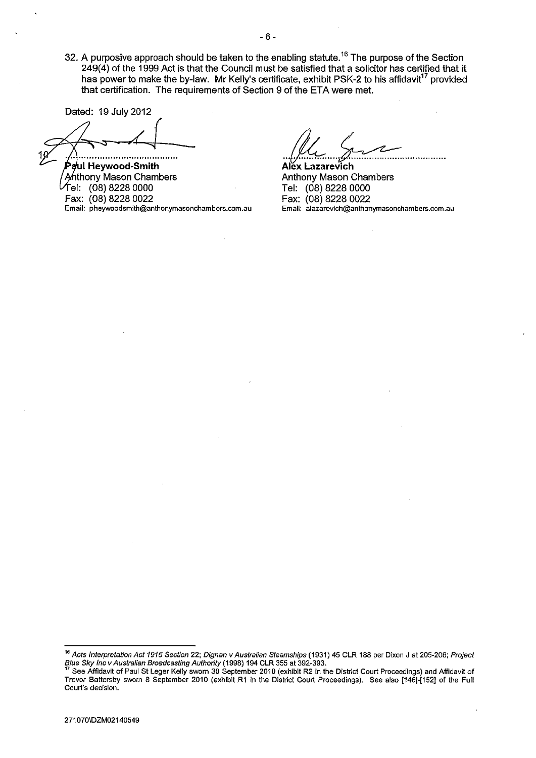32. A purposive approach should be taken to the enabling statute.<sup>16</sup> The purpose of the Section 249(4) of the 1999 Act is that the Council must be satisfied that a solicitor has certified that it has power to make the by-law. Mr Kelly's certificate, exhibit PSK-2 to his affidavit<sup>17</sup> provided that certification. The requirements of Section 9 of the ETA were met.

Dated: 19 July 2012

**ul Heywood-Smith**  thony Mason Chambers el: (08) 8228 0000 Fax: (08) 8228 0022 **Email: pheywoodsmith@anthonymasonchambers.com.au** 

**Alex**  ···~·····~················· **Lazarevich**  Anthony Mason Chambers Tel: (08) 8228 0000 Fax: (08) 8228 0022 **Email: alazarevich@anthonymasonchambers.com.au** 

<sup>16</sup>**Acts Interpretation Act 1915 Section 22; Dignan v Australian Steamships (1931) 45 CLR 188 per Dixon J at 205-206; Project**  Blue *Sky Inc v Australian Broadcasting Authority* (1998) 194 CLR 355 at 392-393.<br><sup>17</sup> See Affidavit of Paul St Leger Kelly sworn 30 September 2010 (exhibit R2 in the District Court Proceedings) and Affidavit of

**Trevor Battersby sworn 8 September 2010 (exhibit R1 in the District Court Proceedings). See also [146]-[1521 of the Full Court's decision.**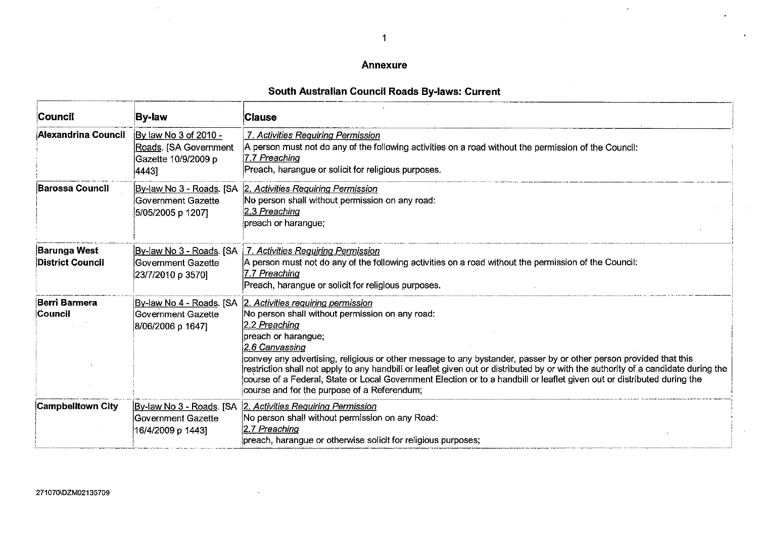## **Annexure**

# **South Australian Council Roads By-laws: Current**

| Council                                        | <b>By-law</b>                                                                  | Clause                                                                                                                                                                                                                                                                                                                                                                                                                                                                                                                                                                               |
|------------------------------------------------|--------------------------------------------------------------------------------|--------------------------------------------------------------------------------------------------------------------------------------------------------------------------------------------------------------------------------------------------------------------------------------------------------------------------------------------------------------------------------------------------------------------------------------------------------------------------------------------------------------------------------------------------------------------------------------|
| Alexandrina Council                            | By law No 3 of 2010 -<br>Roads. [SA Government<br>Gazette 10/9/2009 p<br>44431 | 7. Activities Requiring Permission<br>A person must not do any of the following activities on a road without the permission of the Council:<br>7.7 Preaching<br>Preach, harangue or solicit for religious purposes.                                                                                                                                                                                                                                                                                                                                                                  |
| <b>Barossa Council</b>                         | By-law No 3 - Roads. [SA<br>Government Gazette<br>5/05/2005 p 1207]            | 2. Activities Requiring Permission<br>No person shall without permission on any road:<br>2.3 Preaching<br>preach or harangue;                                                                                                                                                                                                                                                                                                                                                                                                                                                        |
| <b>Barunga West</b><br><b>District Council</b> | By-law No 3 - Roads. [SA<br>lGovernment Gazette<br>23/7/2010 p 3570]           | 7. Activities Requiring Permission<br>A person must not do any of the following activities on a road without the permission of the Council:<br>7.7 Preaching<br>Preach, harangue or solicit for religious purposes.                                                                                                                                                                                                                                                                                                                                                                  |
| Berri Barmera<br><b>Council</b>                | <u> By-law No 4 - Roads</u> . [SA<br>Government Gazette<br>8/06/2006 p 1647]   | 2. Activities requiring permission<br>No person shall without permission on any road:<br>2.2 Preaching<br>preach or harangue;<br>2.6 Canvassing<br>convey any advertising, religious or other message to any bystander, passer by or other person provided that this<br>restriction shall not apply to any handbill or leaflet given out or distributed by or with the authority of a candidate during the<br>course of a Federal, State or Local Government Election or to a handbill or leaflet given out or distributed during the<br>course and for the purpose of a Referendum; |
| <b>Campbelitown City</b>                       | lGovernment Gazette<br>16/4/2009 p 1443]                                       | By-law No 3 - Roads. [SA 2. Activities Requiring Permission<br>No person shall without permission on any Road:<br>2.7 Preaching<br>preach, harangue or otherwise solicit for religious purposes;                                                                                                                                                                                                                                                                                                                                                                                     |

 $\sim$ 

 $\mathcal{A}^{\mathcal{A}}$ 

 $\ddot{\phantom{a}}$ 

 $\mathbf{r}$ 

J.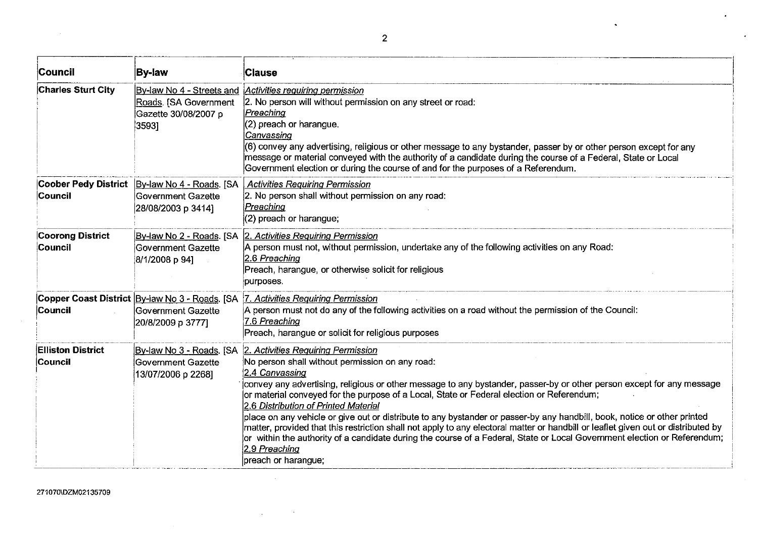| Council                                    | <b>By-law</b>                                                                                | <b>Clause</b>                                                                                                                                                                                                                                                                                                                                                                                                                                                                                                                                                                                                                                                                                                                                                                                              |
|--------------------------------------------|----------------------------------------------------------------------------------------------|------------------------------------------------------------------------------------------------------------------------------------------------------------------------------------------------------------------------------------------------------------------------------------------------------------------------------------------------------------------------------------------------------------------------------------------------------------------------------------------------------------------------------------------------------------------------------------------------------------------------------------------------------------------------------------------------------------------------------------------------------------------------------------------------------------|
| <b>Charles Sturt City</b>                  | By-law No 4 - Streets and<br>Roads. [SA Government<br>Gazette 30/08/2007 p<br>3593]          | <b>Activities requiring permission</b><br>2. No person will without permission on any street or road:<br><u> Preaching</u><br>(2) preach or harangue.<br>Canvassing<br>(6) convey any advertising, religious or other message to any bystander, passer by or other person except for any<br>message or material conveyed with the authority of a candidate during the course of a Federal, State or Local<br>Government election or during the course of and for the purposes of a Referendum.                                                                                                                                                                                                                                                                                                             |
| Council                                    | Coober Pedy District   By-law No. 4 - Roads. [SA<br>Government Gazette<br>28/08/2003 p 3414] | <b>Activities Requiring Permission</b><br>2. No person shall without permission on any road:<br>Preaching<br>(2) preach or harangue;                                                                                                                                                                                                                                                                                                                                                                                                                                                                                                                                                                                                                                                                       |
| <b>Coorong District</b><br><b>Council</b>  | Government Gazette<br>8/1/2008 p 94]                                                         | By-law No 2 - Roads. [SA 2. Activities Requiring Permission<br>A person must not, without permission, undertake any of the following activities on any Road:<br>$2.6$ Preaching<br>Preach, harangue, or otherwise solicit for religious<br>purposes.                                                                                                                                                                                                                                                                                                                                                                                                                                                                                                                                                       |
| <b>Council</b>                             | Copper Coast District By-law No 3 - Roads. [SA<br>Government Gazette<br>20/8/2009 p 3777]    | 7. Activities Requiring Permission<br>A person must not do any of the following activities on a road without the permission of the Council:<br>7.6 Preaching<br>Preach, harangue or solicit for religious purposes                                                                                                                                                                                                                                                                                                                                                                                                                                                                                                                                                                                         |
| <b>Elliston District</b><br><b>Council</b> | By-law No 3 - Roads. [SA<br>Government Gazette<br>13/07/2006 p 2268]                         | 2. Activities Requiring Permission<br>No person shall without permission on any road:<br>2.4 Canvassing<br>convey any advertising, religious or other message to any bystander, passer-by or other person except for any message<br>or material conveyed for the purpose of a Local, State or Federal election or Referendum;<br>2.6 Distribution of Printed Material<br>place on any vehicle or give out or distribute to any bystander or passer-by any handbili, book, notice or other printed<br>matter, provided that this restriction shall not apply to any electoral matter or handbill or leaflet given out or distributed by<br>or within the authority of a candidate during the course of a Federal, State or Local Government election or Referendum;<br>2.9 Preaching<br>preach or harangue; |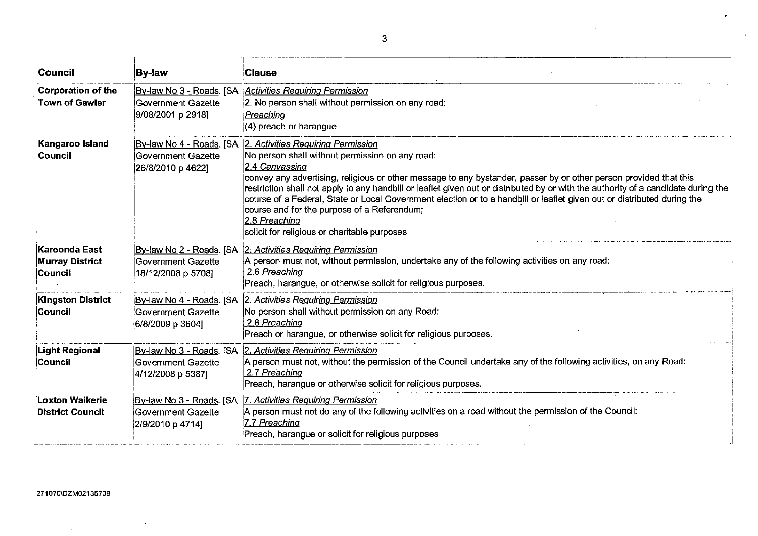| Council                                                   | <b>By-law</b>                                                             | <b>Clause</b>                                                                                                                                                                                                                                                                                                                                                                                                                                                                                                                                                                                                                          |
|-----------------------------------------------------------|---------------------------------------------------------------------------|----------------------------------------------------------------------------------------------------------------------------------------------------------------------------------------------------------------------------------------------------------------------------------------------------------------------------------------------------------------------------------------------------------------------------------------------------------------------------------------------------------------------------------------------------------------------------------------------------------------------------------------|
| Corporation of the<br>Town of Gawler                      | Government Gazette<br>9/08/2001 p 2918]                                   | By-law No 3 - Roads. [SA Activities Requiring Permission<br>2. No person shall without permission on any road:<br>Preaching<br>(4) preach or harangue                                                                                                                                                                                                                                                                                                                                                                                                                                                                                  |
| Kangaroo Island<br><b>Council</b>                         | Government Gazette<br>26/8/2010 p 4622]                                   | By-law No 4 - Roads. [SA 2. Activities Requiring Permission<br>No person shall without permission on any road:<br>2.4 Canvassing<br>convey any advertising, religious or other message to any bystander, passer by or other person provided that this<br>restriction shall not apply to any handbill or leaflet given out or distributed by or with the authority of a candidate during the<br>course of a Federal, State or Local Government election or to a handbill or leaflet given out or distributed during the<br>course and for the purpose of a Referendum;<br>2.8 Preaching<br>solicit for religious or charitable purposes |
| Karoonda East<br><b>Murray District</b><br><b>Council</b> | Government Gazette<br>18/12/2008 p 5708]                                  | By-law No 2 - Roads. [SA 2: Activities Requiring Permission<br>A person must not, without permission, undertake any of the following activities on any road:<br>2.6 Preaching<br>Preach, harangue, or otherwise solicit for religious purposes.                                                                                                                                                                                                                                                                                                                                                                                        |
| <b>Kingston District</b><br>Council                       | Government Gazette<br>6/8/2009 p 3604]                                    | By-law No 4 - Roads. [SA 2. Activities Requiring Permission<br>No person shall without permission on any Road:<br>2.8 Preaching<br>Preach or harangue, or otherwise solicit for religious purposes.                                                                                                                                                                                                                                                                                                                                                                                                                                    |
| Light Regional<br><b>Council</b>                          | Government Gazette<br>4/12/2008 p 5387                                    | By-law No 3 - Roads. [SA 2. Activities Requiring Permission<br>A person must not, without the permission of the Council undertake any of the following activities, on any Road:<br>2.7 Preaching<br>Preach, harangue or otherwise solicit for religious purposes.                                                                                                                                                                                                                                                                                                                                                                      |
| <b>Loxton Waikerie</b><br><b>District Council</b>         | By-law No 3 - Roads. [SA<br><b>Government Gazette</b><br>2/9/2010 p 4714] | 7. Activities Requiring Permission<br> A person must not do any of the following activities on a road without the permission of the Council:<br>7.7 Preaching<br>Preach, harangue or solicit for religious purposes                                                                                                                                                                                                                                                                                                                                                                                                                    |

 $\sim 10^{11}$ 

 $\sim$ 

 $\sim$ 

 $\mathcal{L}^{\text{max}}_{\text{max}}$  , where  $\mathcal{L}^{\text{max}}_{\text{max}}$ 

 $\sim 10^{-1}$ 

 $\sim 10^{11}$ 

 $\overline{a}$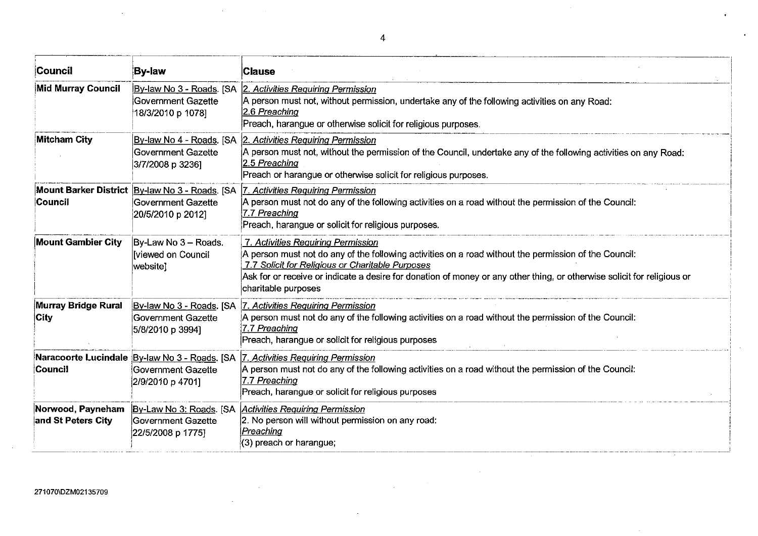| Council                                 | <b>By-law</b>                                                                             | <b>Clause</b>                                                                                                                                                                                                                                                                                                                                     |
|-----------------------------------------|-------------------------------------------------------------------------------------------|---------------------------------------------------------------------------------------------------------------------------------------------------------------------------------------------------------------------------------------------------------------------------------------------------------------------------------------------------|
| Mid Murray Council                      | Government Gazette<br>18/3/2010 p 1078]                                                   | By-law No 3 - Roads. [SA 2. Activities Requiring Permission<br>A person must not, without permission, undertake any of the following activities on any Road:<br>2.6 Preaching<br>Preach, harangue or otherwise solicit for religious purposes.                                                                                                    |
| <b>Mitcham City</b>                     | <b>Government Gazette</b><br>3/7/2008 p 3236]                                             | By-law No 4 - Roads. [SA 2. Activities Requiring Permission<br>A person must not, without the permission of the Council, undertake any of the following activities on any Road:<br>2.5 Preaching<br>Preach or harangue or otherwise solicit for religious purposes.                                                                               |
| Council                                 | Mount Barker District By-law No 3 - Roads. [SA<br>Government Gazette<br>20/5/2010 p 2012] | 7. Activities Requiring Permission<br>A person must not do any of the following activities on a road without the permission of the Council:<br>7.7 Preaching<br>Preach, harangue or solicit for religious purposes.                                                                                                                               |
| <b>Mount Gambier City</b>               | By-Law No 3 - Roads.<br><b>Iviewed on Council</b><br>website]                             | 7. Activities Requiring Permission<br>A person must not do any of the following activities on a road without the permission of the Council:<br>7.7 Solicit for Religious or Charitable Purposes<br>Ask for or receive or indicate a desire for donation of money or any other thing, or otherwise solicit for religious or<br>charitable purposes |
| <b>Murray Bridge Rural</b><br>City      | By-law No 3 - Roads. [SA<br>Government Gazette<br>5/8/2010 p 3994]                        | 7. Activities Requiring Permission<br>A person must not do any of the following activities on a road without the permission of the Council:<br>7.7 Preaching<br>Preach, harangue or solicit for religious purposes                                                                                                                                |
| <b>Council</b>                          | Government Gazette<br>2/9/2010 p 4701]                                                    | Naracoorte Lucindale By-law No 3 - Roads. [SA 7. Activities Requiring Permission<br>A person must not do any of the following activities on a road without the permission of the Council:<br>7.7 Preaching<br>Preach, harangue or solicit for religious purposes                                                                                  |
| Norwood, Payneham<br>and St Peters City | Government Gazette<br>22/5/2008 p 1775]                                                   | By-Law No 3: Roads. [SA Activities Requiring Permission<br>2. No person will without permission on any road:<br>Preaching<br>(3) preach or harangue;                                                                                                                                                                                              |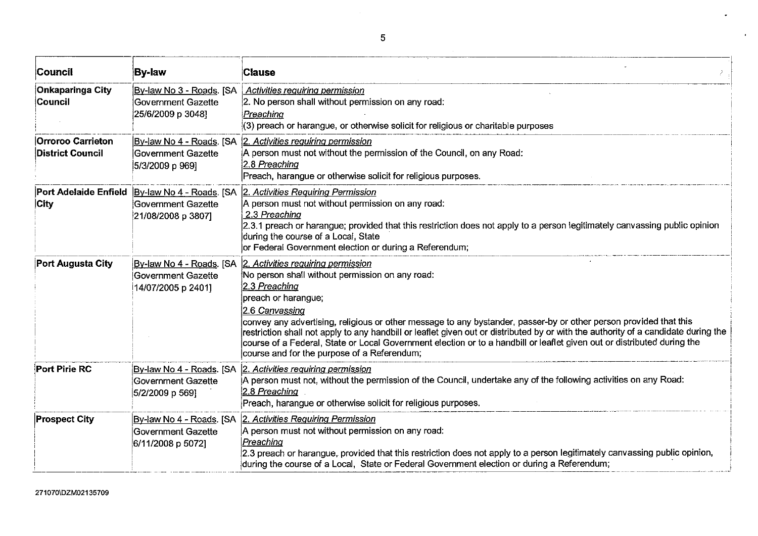| Council                                             | <b>By-law</b>                                                              | <b>Clause</b>                                                                                                                                                                                                                                                                                                                                                                                                                                                                                                                                                                        |
|-----------------------------------------------------|----------------------------------------------------------------------------|--------------------------------------------------------------------------------------------------------------------------------------------------------------------------------------------------------------------------------------------------------------------------------------------------------------------------------------------------------------------------------------------------------------------------------------------------------------------------------------------------------------------------------------------------------------------------------------|
| <b>Onkaparinga City</b><br>Council                  | By-law No 3 - Roads. [SA<br>Government Gazette<br>25/6/2009 p 3048]        | Activities requiring permission<br>2. No person shall without permission on any road:<br>Preaching<br>(3) preach or harangue, or otherwise solicit for religious or charitable purposes                                                                                                                                                                                                                                                                                                                                                                                              |
| <b>Orroroo Carrieton</b><br><b>District Council</b> | By-law No 4 - Roads. [SA<br>Government Gazette<br>5/3/2009 p 969]          | 2. Activities requiring permission<br>A person must not without the permission of the Council, on any Road:<br>2.8 Preaching<br>Preach, harangue or otherwise solicit for religious purposes.                                                                                                                                                                                                                                                                                                                                                                                        |
| <b>Port Adelaide Enfield</b><br>City                | <b>Government Gazette</b><br>21/08/2008 p 3807]                            | By-law No 4 - Roads. [SA 2. Activities Requiring Permission<br>A person must not without permission on any road:<br>2.3 Preaching<br>2.3.1 preach or harangue; provided that this restriction does not apply to a person legitimately canvassing public opinion<br>during the course of a Local, State<br>or Federal Government election or during a Referendum;                                                                                                                                                                                                                     |
| Port Augusta City                                   | By-law No 4 - Roads. [SA<br>Government Gazette<br>14/07/2005 p 2401]       | 2. Activities requiring permission<br>No person shall without permission on any road:<br>2.3 Preaching<br>preach or harangue;<br>2.6 Canvassing<br>convey any advertising, religious or other message to any bystander, passer-by or other person provided that this<br>restriction shall not apply to any handbill or leaflet given out or distributed by or with the authority of a candidate during the<br>course of a Federal, State or Local Government election or to a handbill or leaflet given out or distributed during the<br>course and for the purpose of a Referendum; |
| <b>Port Pirie RC</b>                                | <u>By-law No 4 - Roads</u> . [SA]<br>Government Gazette<br>5/2/2009 p 569] | 2. Activities requiring permission<br>A person must not, without the permission of the Council, undertake any of the following activities on any Road:<br>2.8 Preaching<br>Preach, harangue or otherwise solicit for religious purposes.                                                                                                                                                                                                                                                                                                                                             |
| <b>Prospect City</b>                                | By-law No 4 - Roads. [SA<br>Government Gazette<br>6/11/2008 p 5072]        | 2. Activities Requiring Permission<br>A person must not without permission on any road:<br>Preaching<br>2.3 preach or harangue, provided that this restriction does not apply to a person legitimately canvassing public opinion,<br>during the course of a Local, State or Federal Government election or during a Referendum;                                                                                                                                                                                                                                                      |

L.

 $\bullet$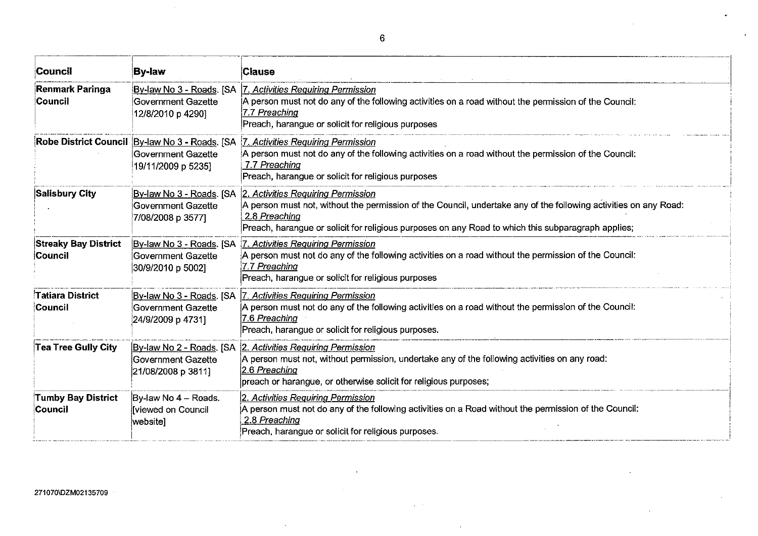| Council                                | <b>By-law</b>                                                                              | <b>Clause</b>                                                                                                                                                                                                                                                                                          |
|----------------------------------------|--------------------------------------------------------------------------------------------|--------------------------------------------------------------------------------------------------------------------------------------------------------------------------------------------------------------------------------------------------------------------------------------------------------|
| <b>Renmark Paringa</b><br>Council      | By-law No 3 - Roads. [SA<br>Government Gazette<br>12/8/2010 p 4290]                        | 7. Activities Requiring Permission<br>A person must not do any of the following activities on a road without the permission of the Council:<br>7.7 Preaching<br>Preach, harangue or solicit for religious purposes                                                                                     |
|                                        | Robe District Council By-law No 3 - Roads. [SA<br>Government Gazette<br>19/11/2009 p 5235] | 7. Activities Requiring Permission<br>A person must not do any of the following activities on a road without the permission of the Council:<br>7.7 Preaching<br>Preach, harangue or solicit for religious purposes                                                                                     |
| <b>Salisbury City</b>                  | Government Gazette<br>7/08/2008 p 3577]                                                    | By-law No 3 - Roads. [SA 2. Activities Requiring Permission<br>A person must not, without the permission of the Council, undertake any of the following activities on any Road:<br>2.8 Preaching<br>Preach, harangue or solicit for religious purposes on any Road to which this subparagraph applies; |
| <b>Streaky Bay District</b><br>Council | By-law No 3 - Roads. [SA<br>Government Gazette<br>30/9/2010 p 5002]                        | 7. Activities Requiring Permission<br>A person must not do any of the following activities on a road without the permission of the Council:<br>7.7 Preaching<br>Preach, harangue or solicit for religious purposes                                                                                     |
| Tatiara District<br>Council            | By-law No 3 - Roads. [SA<br>Government Gazette<br>24/9/2009 p 4731]                        | 7. Activities Requiring Permission<br>A person must not do any of the following activities on a road without the permission of the Council:<br>7.6 Preaching<br>Preach, harangue or solicit for religious purposes.                                                                                    |
| <b>Tea Tree Guily City</b>             | By-law No 2 - Roads. [SA<br>Government Gazette<br>21/08/2008 p 3811]                       | 2. Activities Requiring Permission<br>A person must not, without permission, undertake any of the following activities on any road:<br>2.6 Preaching<br>preach or harangue, or otherwise solicit for religious purposes;                                                                               |
| <b>Tumby Bay District</b><br>Council   | By-law No 4 - Roads.<br><b>Iviewed on Council</b><br>website]                              | 2. Activities Requiring Permission<br>A person must not do any of the following activities on a Road without the permission of the Council:<br>2.8 Preaching<br>Preach, harangue or solicit for religious purposes.                                                                                    |

i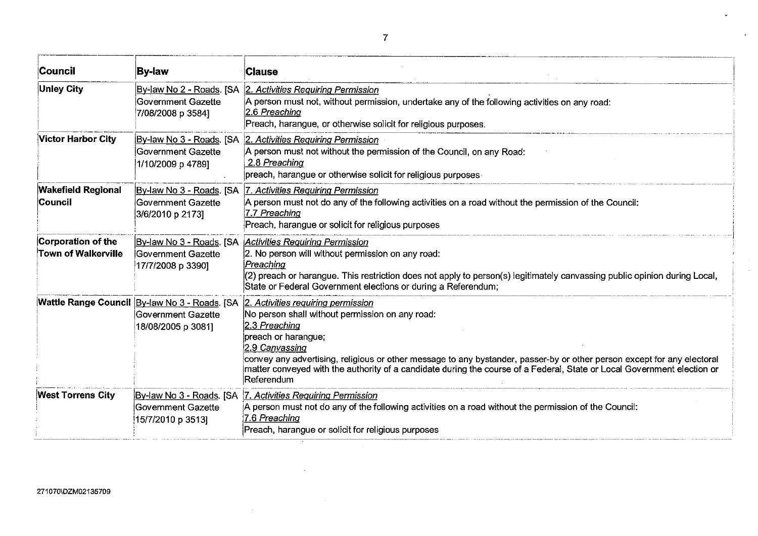| <b>Council</b>                                   | <b>By-law</b>                                                                              | <b>Clause</b>                                                                                                                                                                                                                                                                                                                                                                                                       |
|--------------------------------------------------|--------------------------------------------------------------------------------------------|---------------------------------------------------------------------------------------------------------------------------------------------------------------------------------------------------------------------------------------------------------------------------------------------------------------------------------------------------------------------------------------------------------------------|
| <b>Unley City</b>                                | By-law No 2 - Roads. [SA<br>Government Gazette<br>7/08/2008 p 3584]                        | 2. Activities Requiring Permission<br>A person must not, without permission, undertake any of the following activities on any road:<br>2.6 Preaching<br>Preach, harangue, or otherwise solicit for religious purposes.                                                                                                                                                                                              |
| <b>Victor Harbor City</b>                        | <u> By-law No 3 - Roads</u> . [SA]<br>Government Gazette<br>1/10/2009 p 4789]              | 2. Activities Requiring Permission<br>A person must not without the permission of the Council, on any Road:<br>2.8 Preaching<br>$ $ preach, harangue or otherwise solicit for religious purposes $\cdot$                                                                                                                                                                                                            |
| <b>Wakefield Regional</b><br><b>Council</b>      | By-law No 3 - Roads. [SA<br>Government Gazette<br>3/6/2010 p 2173]                         | 7. Activities Requiring Permission<br>A person must not do any of the following activities on a road without the permission of the Council:<br>7.7 Preaching<br>Preach, harangue or solicit for religious purposes                                                                                                                                                                                                  |
| Corporation of the<br><b>Town of Walkerville</b> | By-law No 3 - Roads. [SA<br>Government Gazette<br>17/7/2008 p 3390]                        | <b>Activities Requiring Permission</b><br>2. No person will without permission on any road:<br>Preaching<br>(2) preach or harangue. This restriction does not apply to person(s) legitimately canvassing public opinion during Local,<br>State or Federal Government elections or during a Referendum;                                                                                                              |
|                                                  | Wattle Range Council By-law No 3 - Roads. [SA<br>lGovernment Gazette<br>18/08/2005 p 3081] | 2. Activities requiring permission<br>No person shall without permission on any road:<br>2.3 Preaching<br>preach or harangue;<br>2.9 Canvassing<br>convey any advertising, religious or other message to any bystander, passer-by or other person except for any electoral<br>matter conveyed with the authority of a candidate during the course of a Federal, State or Local Government election or<br>Referendum |
| <b>West Torrens City</b>                         | Government Gazette<br>15/7/2010 p 3513]                                                    | By-law No 3 - Roads. [SA 7. Activities Requiring Permission<br>A person must not do any of the following activities on a road without the permission of the Council:<br>7.6 Preaching<br>Preach, harangue or solicit for religious purposes                                                                                                                                                                         |

 $\ddot{\phantom{1}}$ 

 $\sim$ 

 $\epsilon$ 

 $\sim 10^{-1}$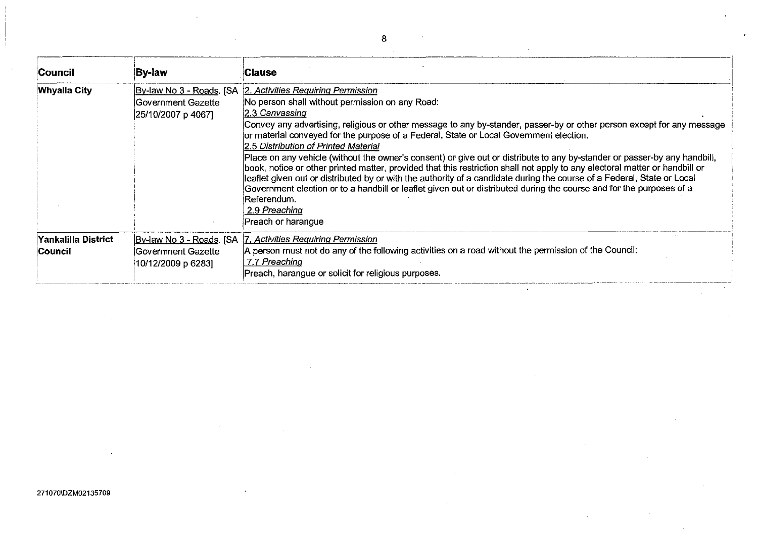| Council                         | <b>By-law</b>                             | <b>Clause</b>                                                                                                                                                                                                                                                                                                                                                                                                                                                                                                                                                                                                                                                                                                                                                                                                                                                                                                                                                     |
|---------------------------------|-------------------------------------------|-------------------------------------------------------------------------------------------------------------------------------------------------------------------------------------------------------------------------------------------------------------------------------------------------------------------------------------------------------------------------------------------------------------------------------------------------------------------------------------------------------------------------------------------------------------------------------------------------------------------------------------------------------------------------------------------------------------------------------------------------------------------------------------------------------------------------------------------------------------------------------------------------------------------------------------------------------------------|
| <b>Whyalla City</b>             | lGovernment Gazette<br>25/10/2007 p 4067] | By-law No 3 - Roads. [SA 2. Activities Requiring Permission<br>No person shall without permission on any Road:<br>2.3 Canvassing<br>Convey any advertising, religious or other message to any by-stander, passer-by or other person except for any message<br>or material conveyed for the purpose of a Federal, State or Local Government election.<br>2.5 Distribution of Printed Material<br>Place on any vehicle (without the owner's consent) or give out or distribute to any by-stander or passer-by any handbili,<br>book, notice or other printed matter, provided that this restriction shall not apply to any electoral matter or handbill or<br>leaflet given out or distributed by or with the authority of a candidate during the course of a Federal, State or Local<br>Government election or to a handbill or leaflet given out or distributed during the course and for the purposes of a<br>Referendum.<br>2.9 Preaching<br>Preach or harangue |
| Yankalilla District<br>∣Council | Government Gazette<br>10/12/2009 p 6283]  | By-law No 3 - Roads. [SA   7. Activities Requiring Permission<br>A person must not do any of the following activities on a road without the permission of the Council:<br>7.7 Preaching<br>Preach, harangue or solicit for religious purposes.                                                                                                                                                                                                                                                                                                                                                                                                                                                                                                                                                                                                                                                                                                                    |